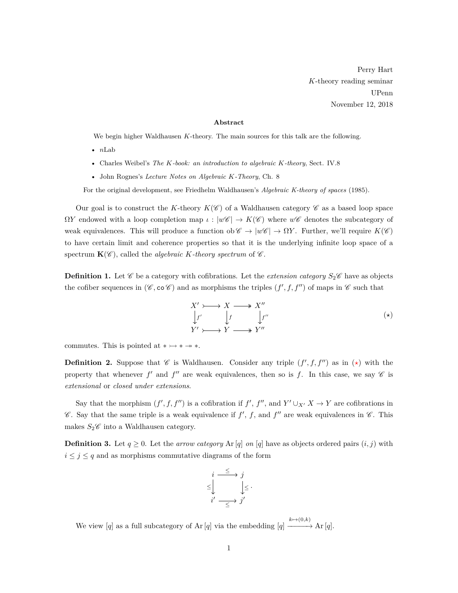Perry Hart *K*-theory reading seminar UPenn November 12, 2018

## **Abstract**

We begin higher Waldhausen *K*-theory. The main sources for this talk are the following.

- *n*Lab
- Charles Weibel's *The K-book: an introduction to algebraic K-theory*, Sect. IV.8
- John Rognes's *Lecture Notes on Algebraic K-Theory*, Ch. 8

For the original development, see Friedhelm Waldhausen's *Algebraic K-theory of spaces* (1985).

Our goal is to construct the *K*-theory  $K(\mathscr{C})$  of a Waldhausen category  $\mathscr{C}$  as a based loop space  $\Omega Y$  endowed with a loop completion map  $\iota : |w\mathscr{C}| \to K(\mathscr{C})$  where  $w\mathscr{C}$  denotes the subcategory of weak equivalences. This will produce a function ob  $\mathscr{C} \to |\psi \mathscr{C}| \to \Omega Y$ . Further, we'll require  $K(\mathscr{C})$ to have certain limit and coherence properties so that it is the underlying infinite loop space of a spectrum  $\mathbf{K}(\mathscr{C})$ , called the *algebraic K-theory spectrum* of  $\mathscr{C}$ .

**Definition 1.** Let  $\mathscr{C}$  be a category with cofibrations. Let the *extension category*  $S_2\mathscr{C}$  have as objects the cofiber sequences in  $(\mathscr{C}, \text{co }\mathscr{C})$  and as morphisms the triples  $(f', f, f'')$  of maps in  $\mathscr{C}$  such that

<span id="page-0-0"></span>
$$
X' \rightarrow X \rightarrow X''
$$
  
\n
$$
\downarrow f' \qquad \downarrow f \qquad \downarrow f''
$$
  
\n
$$
Y' \rightarrow Y \rightarrow Y''
$$
  
\n
$$
(*)
$$

commutes. This is pointed at  $*\rightarrow *\rightarrow *$ .

**Definition 2.** Suppose that  $\mathscr C$  is Waldhausen. Consider any triple  $(f', f, f'')$  as in  $(\star)$  with the property that whenever  $f'$  and  $f''$  are weak equivalences, then so is  $f$ . In this case, we say  $\mathscr C$  is *extensional* or *closed under extensions*.

Say that the morphism  $(f', f, f'')$  is a cofibration if  $f', f''$ , and  $Y' \cup_{X'} X \to Y$  are cofibrations in  $\mathscr C$ . Say that the same triple is a weak equivalence if  $f'$ ,  $f$ , and  $f''$  are weak equivalences in  $\mathscr C$ . This makes  $S_2$  into a Waldhausen category.

**Definition 3.** Let  $q \ge 0$ . Let the *arrow category* Ar [*q*] *on* [*q*] have as objects ordered pairs  $(i, j)$  with  $i \leq j \leq q$  and as morphisms commutative diagrams of the form



We view  $[q]$  as a full subcategory of Ar  $[q]$  via the embedding  $[q] \xrightarrow{k \mapsto (0,k)} \text{Ar }[q]$ .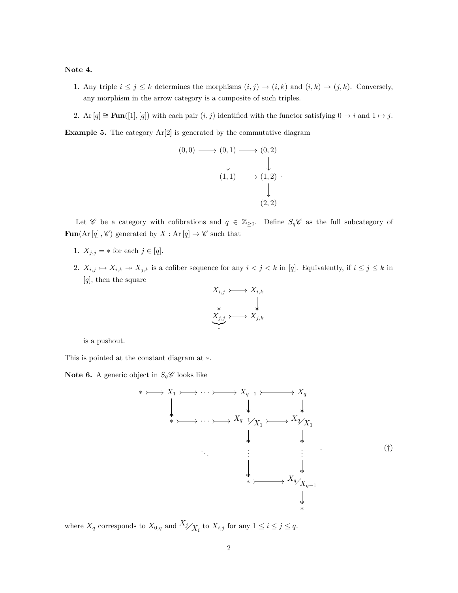## **Note 4.**

- 1. Any triple  $i \leq j \leq k$  determines the morphisms  $(i, j) \rightarrow (i, k)$  and  $(i, k) \rightarrow (j, k)$ . Conversely, any morphism in the arrow category is a composite of such triples.
- 2. Ar  $[q] \cong \text{Fun}([1],[q])$  with each pair  $(i, j)$  identified with the functor satisfying  $0 \mapsto i$  and  $1 \mapsto j$ .

**Example 5.** The category Ar[2] is generated by the commutative diagram



Let  $\mathscr C$  be a category with cofibrations and  $q \in \mathbb{Z}_{\geq 0}$ . Define  $S_q\mathscr C$  as the full subcategory of  $\mathbf{Fun}(\operatorname{Ar} [q] \, , \mathscr{C})$  generated by  $X : \operatorname{Ar} [q] \to \mathscr{C}$  such that

- 1.  $X_{j,j}$  = \* for each  $j \in [q]$ .
- 2.  $X_{i,j} \rightarrowtail X_{i,k} \rightarrowtail X_{j,k}$  is a cofiber sequence for any  $i < j < k$  in [q]. Equivalently, if  $i \leq j \leq k$  in [*q*], then the square

<span id="page-1-0"></span>

is a pushout.

This is pointed at the constant diagram at ∗.

**Note 6.** A generic object in  $S_qC$  looks like



where  $X_q$  corresponds to  $X_{0,q}$  and  $X_{j}$ <sup>*i*</sup> $X_i$  to  $X_{i,j}$  for any  $1 \leq i \leq j \leq q$ .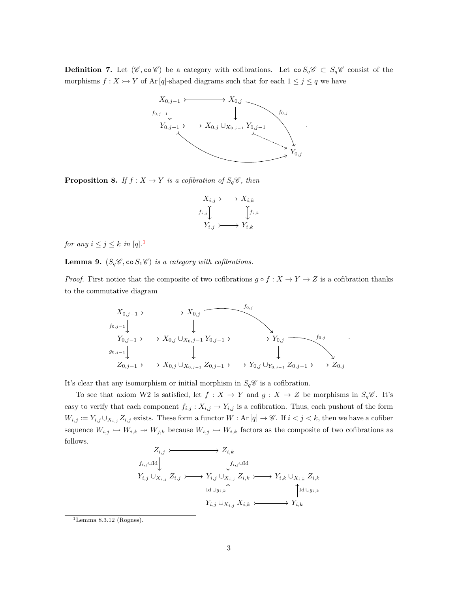**Definition 7.** Let  $(\mathscr{C}, \text{co }\mathscr{C})$  be a category with cofibrations. Let  $\text{co } S_q\mathscr{C} \subset S_q\mathscr{C}$  consist of the morphisms  $f: X \rightarrow Y$  of Ar [*q*]-shaped diagrams such that for each  $1 \leq j \leq q$  we have



**Proposition 8.** *If*  $f : X \to Y$  *is a cofibration of*  $S_q \mathscr{C}$ *, then* 

$$
X_{i,j} \rightarrow X_{i,k}
$$
  

$$
f_{i,j} \downarrow \qquad \qquad \downarrow f_{i,k}
$$
  

$$
Y_{i,j} \rightarrow Y_{i,k}
$$

*for any*  $i \leq j \leq k$  *in* [*q*].<sup>[1](#page-2-0)</sup>

**Lemma 9.**  $(S_q\mathscr{C}, \text{co } S_1\mathscr{C})$  *is a category with cofibrations.* 

*Proof.* First notice that the composite of two cofibrations  $g \circ f : X \to Y \to Z$  is a cofibration thanks to the commutative diagram



It's clear that any isomorphism or initial morphism in  $S_q\mathscr{C}$  is a cofibration.

To see that axiom W2 is satisfied, let  $f : X \to Y$  and  $g : X \to Z$  be morphisms in  $S_q\mathscr{C}$ . It's easy to verify that each component  $f_{i,j}: X_{i,j} \to Y_{i,j}$  is a cofibration. Thus, each pushout of the form  $W_{i,j} := Y_{i,j} \cup_{X_{i,j}} Z_{i,j}$  exists. These form a functor  $W : \text{Ar} [q] \to \mathscr{C}$ . If  $i < j < k$ , then we have a cofiber sequence  $W_{i,j} \rightarrow W_{i,k} \rightarrow W_{j,k}$  because  $W_{i,j} \rightarrow W_{i,k}$  factors as the composite of two cofibrations as follows.

$$
Z_{i,j} \longleftarrow Z_{i,k}
$$
\n
$$
f_{i,j} \cup \text{Id} \downarrow \qquad \qquad f_{i,j} \cup \text{Id}
$$
\n
$$
Y_{i,j} \cup X_{i,j} Z_{i,j} \longleftarrow Y_{i,j} \cup X_{i,j} Z_{i,k} \longleftarrow Y_{i,k} \cup X_{i,k} Z_{i,k}
$$
\n
$$
\text{Id} \cup g_{i,k} \uparrow \qquad \qquad \text{Id} \cup g_{i,k}
$$
\n
$$
Y_{i,j} \cup X_{i,j} X_{i,k} \longleftarrow Y_{i,k}
$$

<span id="page-2-0"></span> $1$ Lemma 8.3.12 (Rognes).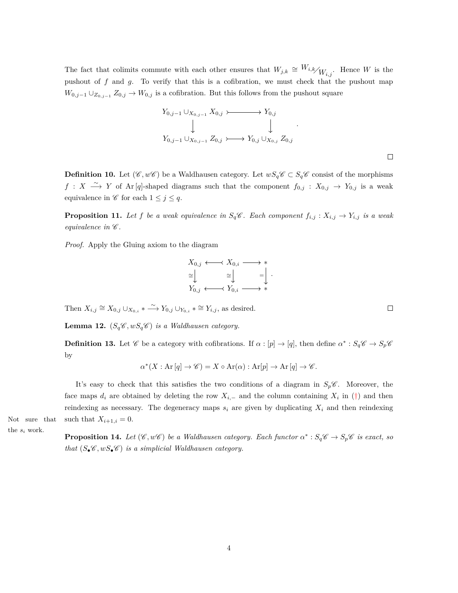The fact that colimits commute with each other ensures that  $W_{j,k} \cong W_{i,k}/W_{i,j}$ . Hence *W* is the pushout of *f* and *g*. To verify that this is a cofibration, we must check that the pushout map  $W_{0,j-1} \cup_{Z_{0,j-1}} Z_{0,j} \to W_{0,j}$  is a cofibration. But this follows from the pushout square

$$
Y_{0,j-1} \cup_{X_{0,j-1}} X_{0,j} \longmapsto Y_{0,j}
$$
  
\n
$$
\downarrow \qquad \qquad \downarrow \qquad \qquad \downarrow
$$
  
\n
$$
Y_{0,j-1} \cup_{X_{0,j-1}} Z_{0,j} \longmapsto Y_{0,j} \cup_{X_{0,j}} Z_{0,j}
$$

**Definition 10.** Let  $(\mathscr{C}, w\mathscr{C})$  be a Waldhausen category. Let  $wS_q\mathscr{C} \subset S_q\mathscr{C}$  consist of the morphisms *f* : *X* → *Y* of Ar [*q*]-shaped diagrams such that the component  $f_{0,j}$  :  $X_{0,j}$  →  $Y_{0,j}$  is a weak equivalence in  $\mathscr C$  for each  $1 \leq j \leq q$ .

**Proposition 11.** Let *f* be a weak equivalence in  $S_q\mathscr{C}$ . Each component  $f_{i,j}: X_{i,j} \to Y_{i,j}$  is a weak *equivalence in*  $\mathscr{C}$ *.* 

*Proof.* Apply the Gluing axiom to the diagram

$$
X_{0,j} \longleftrightarrow X_{0,i} \longrightarrow *
$$
  
\n
$$
\cong \downarrow \cong \downarrow \qquad = \downarrow.
$$
  
\n
$$
Y_{0,j} \longleftrightarrow Y_{0,i} \longrightarrow *
$$

Then  $X_{i,j} \cong X_{0,j} \cup_{X_{0,i}} * \longrightarrow Y_{0,j} \cup_{Y_{0,i}} * \cong Y_{i,j}$ , as desired.

**Lemma 12.**  $(S_q\mathscr{C}, wS_q\mathscr{C})$  *is a Waldhausen category.* 

**Definition 13.** Let  $\mathscr{C}$  be a category with cofibrations. If  $\alpha : [p] \to [q]$ , then define  $\alpha^* : S_q \mathscr{C} \to S_p \mathscr{C}$ by

$$
\alpha^*(X:\text{Ar} [q] \to \mathscr{C}) = X \circ \text{Ar}(\alpha) : \text{Ar}[p] \to \text{Ar} [q] \to \mathscr{C}.
$$

It's easy to check that this satisfies the two conditions of a diagram in  $S_p\mathscr{C}$ . Moreover, the face maps  $d_i$  are obtained by deleting the row  $X_{i,-}$  and the column containing  $X_i$  in ([†](#page-1-0)) and then reindexing as necessary. The degeneracy maps  $s_i$  are given by duplicating  $X_i$  and then reindexing Not sure that such that  $X_{i+1,i} = 0$ .

the *s<sup>i</sup>* work.

**Proposition 14.** Let  $(\mathscr{C}, w\mathscr{C})$  be a Waldhausen category. Each functor  $\alpha^*: S_q\mathscr{C} \to S_p\mathscr{C}$  is exact, so *that*  $(S_{\bullet} \mathscr{C}, wS_{\bullet} \mathscr{C})$  *is a simplicial Waldhausen category.* 



 $\Box$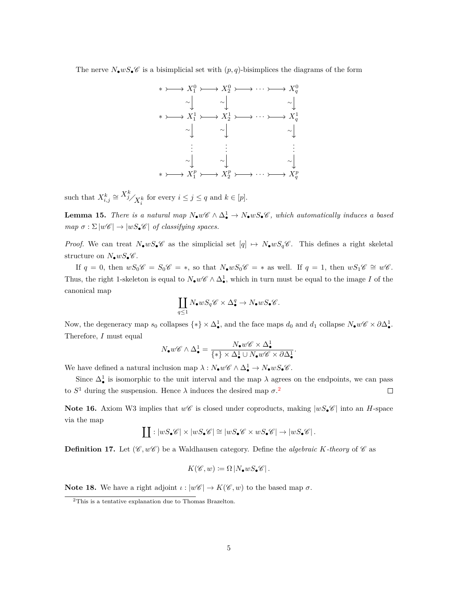The nerve  $N_{\bullet}wS_{\bullet}$  is a bisimplicial set with  $(p, q)$ -bisimplices the diagrams of the form



such that  $X_{i,j}^k \cong \frac{X_{j}^k}{X_i^k}$  for every  $i \leq j \leq q$  and  $k \in [p]$ .

**Lemma 15.** *There is a natural map*  $N_{\bullet}w\mathscr{C} \wedge \Delta_{\bullet}^1 \to N_{\bullet}wS_{\bullet}\mathscr{C}$ *, which automatically induces a based map*  $\sigma : \Sigma |w\mathscr{C}| \to |wS_{\bullet}\mathscr{C}|$  *of classifying spaces.* 

*Proof.* We can treat  $N_{\bullet}wS_{\bullet}C$  as the simplicial set  $[q] \mapsto N_{\bullet}wS_{q}C$ . This defines a right skeletal structure on  $N_{\bullet}wS_{\bullet}$ %.

If  $q = 0$ , then  $wS_0\mathscr{C} = S_0\mathscr{C} = *$ , so that  $N_{\bullet}wS_0\mathscr{C} = *$  as well. If  $q = 1$ , then  $wS_1\mathscr{C} \cong w\mathscr{C}$ . Thus, the right 1-skeleton is equal to  $N_{\bullet}w\mathscr{C} \wedge \Delta_{\bullet}^1$ , which in turn must be equal to the image *I* of the canonical map

$$
\coprod_{q \leq 1} N_{\bullet} w S_q \mathscr{C} \times \Delta_{\bullet}^q \to N_{\bullet} w S_{\bullet} \mathscr{C}.
$$

Now, the degeneracy map  $s_0$  collapses  $\{*\}\times\Delta^1_{\bullet}$ , and the face maps  $d_0$  and  $d_1$  collapse  $N_{\bullet}w\mathscr{C}\times\partial\Delta^1_{\bullet}$ . Therefore, *I* must equal

$$
N_{\bullet}w\mathscr{C}\wedge\Delta_{\bullet}^{1}=\frac{N_{\bullet}w\mathscr{C}\times\Delta_{\bullet}^{1}}{\{*\}\times\Delta_{\bullet}^{1}\cup N_{\bullet}w\mathscr{C}\times\partial\Delta_{\bullet}^{1}}
$$

*.*

We have defined a natural inclusion map  $\lambda : N_{\bullet}w\mathscr{C} \wedge \Delta_{\bullet}^1 \to N_{\bullet}wS_{\bullet}\mathscr{C}$ .

Since  $\Delta^1_{\bullet}$  is isomorphic to the unit interval and the map  $\lambda$  agrees on the endpoints, we can pass to  $S<sup>1</sup>$  during the suspension. Hence  $\lambda$  induces the desired map  $\sigma$ <sup>[2](#page-4-0)</sup>  $\Box$ 

**Note 16.** Axiom W3 implies that  $w\mathscr{C}$  is closed under coproducts, making  $|wS_{\bullet}\mathscr{C}|$  into an *H*-space via the map

$$
\coprod: |wS_{\bullet}\mathscr{C}| \times |wS_{\bullet}\mathscr{C}| \cong |wS_{\bullet}\mathscr{C} \times wS_{\bullet}\mathscr{C}| \rightarrow |wS_{\bullet}\mathscr{C}|.
$$

**Definition 17.** Let  $(\mathscr{C}, w\mathscr{C})$  be a Waldhausen category. Define the *algebraic K-theory* of  $\mathscr{C}$  as

$$
K(\mathscr{C},w) \coloneqq \Omega \left| N_{\bullet} w S_{\bullet} \mathscr{C} \right|.
$$

**Note 18.** We have a right adjoint  $\iota : |w\mathscr{C}| \to K(\mathscr{C}, w)$  to the based map  $\sigma$ .

<span id="page-4-0"></span><sup>2</sup>This is a tentative explanation due to Thomas Brazelton.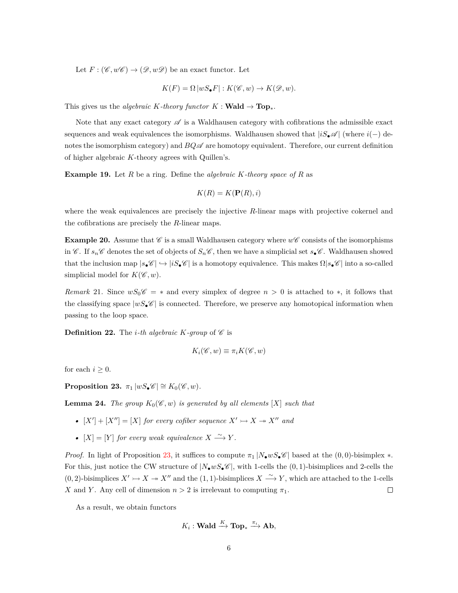Let  $F: (\mathscr{C}, w\mathscr{C}) \to (\mathscr{D}, w\mathscr{D})$  be an exact functor. Let

$$
K(F) = \Omega \left[ wS_{\bullet}F \right] : K(\mathscr{C}, w) \to K(\mathscr{D}, w).
$$

This gives us the *algebraic K*-theory functor  $K : \textbf{Wald} \to \textbf{Top}_*$ .

Note that any exact category  $\mathscr A$  is a Waldhausen category with cofibrations the admissible exact sequences and weak equivalences the isomorphisms. Waldhausen showed that  $|iS_{\bullet}\mathscr{A}|$  (where  $i(-)$  denotes the isomorphism category) and  $BQ\mathscr{A}$  are homotopy equivalent. Therefore, our current definition of higher algebraic *K*-theory agrees with Quillen's.

**Example 19.** Let *R* be a ring. Define the *algebraic K-theory space of R* as

$$
K(R) = K(\mathbf{P}(R), i)
$$

where the weak equivalences are precisely the injective *R*-linear maps with projective cokernel and the cofibrations are precisely the *R*-linear maps.

**Example 20.** Assume that  $\mathscr{C}$  is a small Waldhausen category where  $w\mathscr{C}$  consists of the isomorphisms in  $\mathscr{C}$ . If  $s_n\mathscr{C}$  denotes the set of objects of  $S_n\mathscr{C}$ , then we have a simplicial set  $s_n\mathscr{C}$ . Waldhausen showed that the inclusion map  $|s_{\bullet}\mathscr{C}| \hookrightarrow |iS_{\bullet}\mathscr{C}|$  is a homotopy equivalence. This makes  $\Omega|s_{\bullet}\mathscr{C}|$  into a so-called simplicial model for  $K(\mathscr{C}, w)$ .

*Remark* 21. Since  $wS_0\mathscr{C} = *$  and every simplex of degree  $n > 0$  is attached to \*, it follows that the classifying space  $|wS_{\bullet}\mathscr{C}|$  is connected. Therefore, we preserve any homotopical information when passing to the loop space.

**Definition 22.** The *i*-th algebraic *K*-group of  $\mathscr C$  is

$$
K_i(\mathscr{C},w) \equiv \pi_i K(\mathscr{C},w)
$$

for each  $i \geq 0$ .

<span id="page-5-0"></span>**Proposition 23.**  $\pi_1 |wS_{\bullet} \mathscr{C}| \cong K_0(\mathscr{C}, w)$ .

<span id="page-5-1"></span>**Lemma 24.** *The group*  $K_0(\mathscr{C}, w)$  *is generated by all elements* [X] *such that* 

- $[X'] + [X''] = [X]$  *for every cofiber sequence*  $X' \rightarrowtail X \rightarrowtail X''$  *and*
- $[X] = [Y]$  *for every weak equivalence*  $X \xrightarrow{\sim} Y$ *.*

*Proof.* In light of Proposition [23,](#page-5-0) it suffices to compute  $\pi_1 |N_{\bullet}wS_{\bullet} \mathscr{C}|$  based at the (0,0)-bisimplex  $*$ . For this, just notice the CW structure of  $|N_{\bullet}wS_{\bullet}\mathscr{C}|$ , with 1-cells the  $(0,1)$ -bisimplices and 2-cells the  $(0, 2)$ -bisimplices  $X' \rightarrowtail X \rightarrowtail X''$  and the  $(1, 1)$ -bisimplices  $X \stackrel{\sim}{\longrightarrow} Y$ , which are attached to the 1-cells *X* and *Y*. Any cell of dimension  $n > 2$  is irrelevant to computing  $\pi_1$ .  $\Box$ 

As a result, we obtain functors

$$
K_i: \mathbf{Wald} \xrightarrow{K} \mathbf{Top}_* \xrightarrow{\pi_i} \mathbf{Ab},
$$